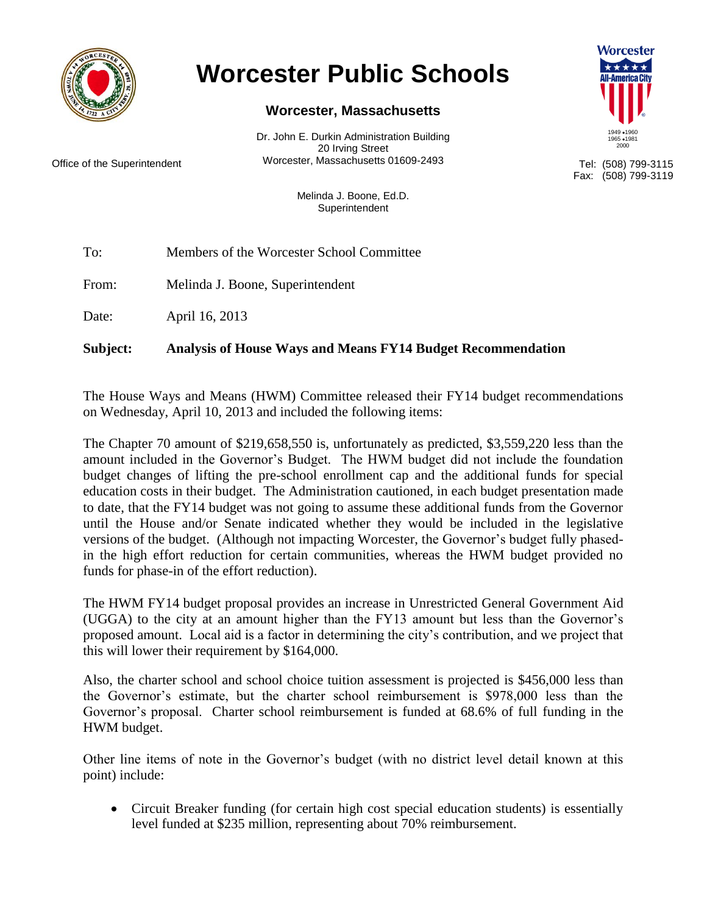

## **Worcester Public Schools**

## **Worcester, Massachusetts**

Dr. John E. Durkin Administration Building 20 Irving Street Office of the Superintendent **Morcester, Massachusetts 01609-2493** Tel: (508) 799-3115



Fax: (508) 799-3119

Melinda J. Boone, Ed.D. Superintendent

To: Members of the Worcester School Committee

From: Melinda J. Boone, Superintendent

Date: April 16, 2013

**Subject: Analysis of House Ways and Means FY14 Budget Recommendation**

The House Ways and Means (HWM) Committee released their FY14 budget recommendations on Wednesday, April 10, 2013 and included the following items:

The Chapter 70 amount of \$219,658,550 is, unfortunately as predicted, \$3,559,220 less than the amount included in the Governor's Budget. The HWM budget did not include the foundation budget changes of lifting the pre-school enrollment cap and the additional funds for special education costs in their budget. The Administration cautioned, in each budget presentation made to date, that the FY14 budget was not going to assume these additional funds from the Governor until the House and/or Senate indicated whether they would be included in the legislative versions of the budget. (Although not impacting Worcester, the Governor's budget fully phasedin the high effort reduction for certain communities, whereas the HWM budget provided no funds for phase-in of the effort reduction).

The HWM FY14 budget proposal provides an increase in Unrestricted General Government Aid (UGGA) to the city at an amount higher than the FY13 amount but less than the Governor's proposed amount. Local aid is a factor in determining the city's contribution, and we project that this will lower their requirement by \$164,000.

Also, the charter school and school choice tuition assessment is projected is \$456,000 less than the Governor's estimate, but the charter school reimbursement is \$978,000 less than the Governor's proposal. Charter school reimbursement is funded at 68.6% of full funding in the HWM budget.

Other line items of note in the Governor's budget (with no district level detail known at this point) include:

 Circuit Breaker funding (for certain high cost special education students) is essentially level funded at \$235 million, representing about 70% reimbursement.